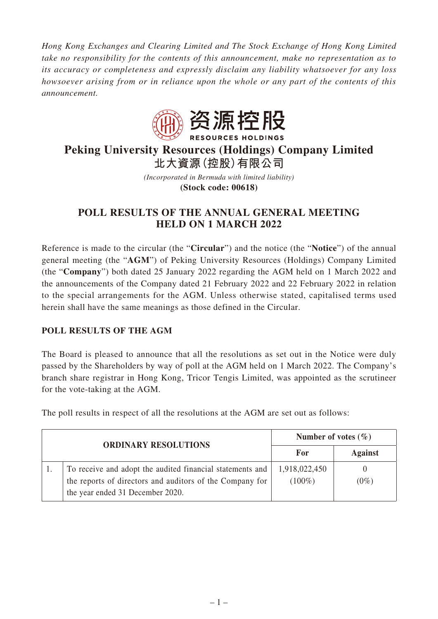*Hong Kong Exchanges and Clearing Limited and The Stock Exchange of Hong Kong Limited take no responsibility for the contents of this announcement, make no representation as to its accuracy or completeness and expressly disclaim any liability whatsoever for any loss howsoever arising from or in reliance upon the whole or any part of the contents of this announcement.*



# **Peking University Resources (Holdings) Company Limited 北大資源(控股)有限公司**

*(Incorporated in Bermuda with limited liability)*

**(Stock code: 00618)**

## **POLL RESULTS OF THE ANNUAL GENERAL MEETING HELD ON 1 MARCH 2022**

Reference is made to the circular (the "**Circular**") and the notice (the "**Notice**") of the annual general meeting (the "**AGM**") of Peking University Resources (Holdings) Company Limited (the "**Company**") both dated 25 January 2022 regarding the AGM held on 1 March 2022 and the announcements of the Company dated 21 February 2022 and 22 February 2022 in relation to the special arrangements for the AGM. Unless otherwise stated, capitalised terms used herein shall have the same meanings as those defined in the Circular.

### **POLL RESULTS OF THE AGM**

The Board is pleased to announce that all the resolutions as set out in the Notice were duly passed by the Shareholders by way of poll at the AGM held on 1 March 2022. The Company's branch share registrar in Hong Kong, Tricor Tengis Limited, was appointed as the scrutineer for the vote-taking at the AGM.

The poll results in respect of all the resolutions at the AGM are set out as follows:

|  | <b>ORDINARY RESOLUTIONS</b>                                                                                                                               | Number of votes $(\% )$    |                |
|--|-----------------------------------------------------------------------------------------------------------------------------------------------------------|----------------------------|----------------|
|  |                                                                                                                                                           | For                        | <b>Against</b> |
|  | To receive and adopt the audited financial statements and<br>the reports of directors and auditors of the Company for<br>the year ended 31 December 2020. | 1,918,022,450<br>$(100\%)$ | $(0\%)$        |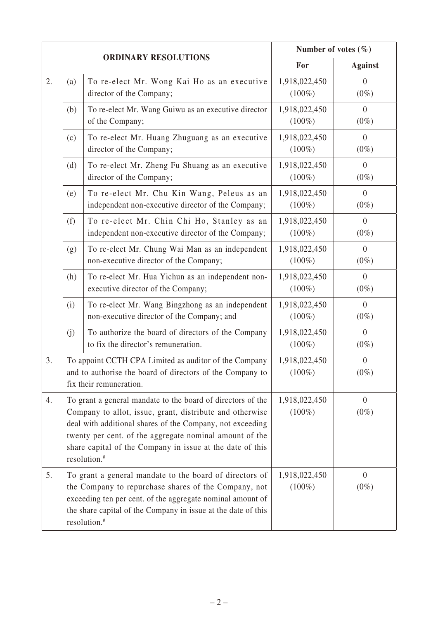|    |                                                                                                                                                                                                                                                                                                                                          |                                                                                                                                                                                                                                                                            | Number of votes $(\% )$    |                           |
|----|------------------------------------------------------------------------------------------------------------------------------------------------------------------------------------------------------------------------------------------------------------------------------------------------------------------------------------------|----------------------------------------------------------------------------------------------------------------------------------------------------------------------------------------------------------------------------------------------------------------------------|----------------------------|---------------------------|
|    | <b>ORDINARY RESOLUTIONS</b>                                                                                                                                                                                                                                                                                                              |                                                                                                                                                                                                                                                                            | For                        | <b>Against</b>            |
| 2. | (a)                                                                                                                                                                                                                                                                                                                                      | To re-elect Mr. Wong Kai Ho as an executive<br>director of the Company;                                                                                                                                                                                                    | 1,918,022,450<br>$(100\%)$ | $\theta$<br>$(0\%)$       |
|    | (b)                                                                                                                                                                                                                                                                                                                                      | To re-elect Mr. Wang Guiwu as an executive director<br>of the Company;                                                                                                                                                                                                     | 1,918,022,450<br>$(100\%)$ | $\theta$<br>$(0\%)$       |
|    | (c)                                                                                                                                                                                                                                                                                                                                      | To re-elect Mr. Huang Zhuguang as an executive<br>director of the Company;                                                                                                                                                                                                 | 1,918,022,450<br>$(100\%)$ | $\theta$<br>$(0\%)$       |
|    | (d)                                                                                                                                                                                                                                                                                                                                      | To re-elect Mr. Zheng Fu Shuang as an executive<br>director of the Company;                                                                                                                                                                                                | 1,918,022,450<br>$(100\%)$ | $\overline{0}$<br>$(0\%)$ |
|    | (e)                                                                                                                                                                                                                                                                                                                                      | To re-elect Mr. Chu Kin Wang, Peleus as an<br>independent non-executive director of the Company;                                                                                                                                                                           | 1,918,022,450<br>$(100\%)$ | $\overline{0}$<br>$(0\%)$ |
|    | (f)                                                                                                                                                                                                                                                                                                                                      | To re-elect Mr. Chin Chi Ho, Stanley as an<br>independent non-executive director of the Company;                                                                                                                                                                           | 1,918,022,450<br>$(100\%)$ | $\overline{0}$<br>$(0\%)$ |
|    | (g)                                                                                                                                                                                                                                                                                                                                      | To re-elect Mr. Chung Wai Man as an independent<br>non-executive director of the Company;                                                                                                                                                                                  | 1,918,022,450<br>$(100\%)$ | $\overline{0}$<br>$(0\%)$ |
|    | (h)                                                                                                                                                                                                                                                                                                                                      | To re-elect Mr. Hua Yichun as an independent non-<br>executive director of the Company;                                                                                                                                                                                    | 1,918,022,450<br>$(100\%)$ | $\theta$<br>$(0\%)$       |
|    | (i)                                                                                                                                                                                                                                                                                                                                      | To re-elect Mr. Wang Bingzhong as an independent<br>non-executive director of the Company; and                                                                                                                                                                             | 1,918,022,450<br>$(100\%)$ | $\overline{0}$<br>$(0\%)$ |
|    | (j)                                                                                                                                                                                                                                                                                                                                      | To authorize the board of directors of the Company<br>to fix the director's remuneration.                                                                                                                                                                                  | 1,918,022,450<br>$(100\%)$ | $\overline{0}$<br>$(0\%)$ |
| 3. | To appoint CCTH CPA Limited as auditor of the Company<br>and to authorise the board of directors of the Company to<br>fix their remuneration.                                                                                                                                                                                            |                                                                                                                                                                                                                                                                            | 1,918,022,450<br>$(100\%)$ | $\theta$<br>$(0\%)$       |
| 4. | To grant a general mandate to the board of directors of the<br>Company to allot, issue, grant, distribute and otherwise<br>deal with additional shares of the Company, not exceeding<br>twenty per cent. of the aggregate nominal amount of the<br>share capital of the Company in issue at the date of this<br>resolution. <sup>#</sup> |                                                                                                                                                                                                                                                                            | 1,918,022,450<br>$(100\%)$ | $\overline{0}$<br>$(0\%)$ |
| 5. |                                                                                                                                                                                                                                                                                                                                          | To grant a general mandate to the board of directors of<br>the Company to repurchase shares of the Company, not<br>exceeding ten per cent. of the aggregate nominal amount of<br>the share capital of the Company in issue at the date of this<br>resolution. <sup>#</sup> | 1,918,022,450<br>$(100\%)$ | $\overline{0}$<br>$(0\%)$ |